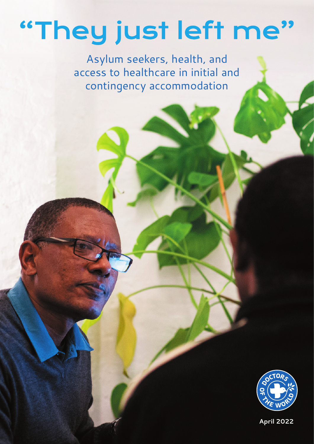# "They just left me"

Asylum seekers, health, and access to healthcare in initial and contingency accommodation



**April 2022**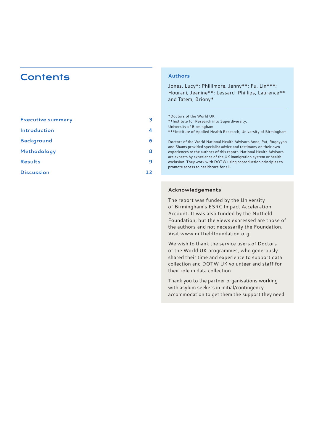# **Contents**

| <b>Executive summary</b> | з  |
|--------------------------|----|
| Introduction             | 4  |
| <b>Background</b>        | 6  |
| Methodology              | 8  |
| <b>Results</b>           | 9  |
| <b>Discussion</b>        | 12 |

#### **Authors**

Jones, Lucy\*; Phillimore, Jenny\*\*; Fu, Lin\*\*\*; Hourani, Jeanine\*\*; Lessard-Phillips, Laurence\*\* and Tatem, Briony\*

\*Doctors of the World UK \*\*Institute for Research into Superdiversity, University of Birmingham \*\*\*Institute of Applied Health Research, University of Birmingham Doctors of the World National Health Advisors Anne, Pat, Ruqoyyah and Shams provided specialist advice and testimony on their own experiences to the authors of this report. National Health Advisors are experts by experience of the UK immigration system or health exclusion. They work with DOTW using coproduction principles to promote access to healthcare for all.

# **Acknowledgements**

The report was funded by the University of Birmingham's ESRC Impact Acceleration Account. It was also funded by the Nuffield Foundation, but the views expressed are those of the authors and not necessarily the Foundation. Visit [www.nuffieldfoundation.org](http://www.nuffieldfoundation.org).

We wish to thank the service users of Doctors of the World UK programmes, who generously shared their time and experience to support data collection and DOTW UK volunteer and staff for their role in data collection.

Thank you to the partner organisations working with asylum seekers in initial/contingency accommodation to get them the support they need.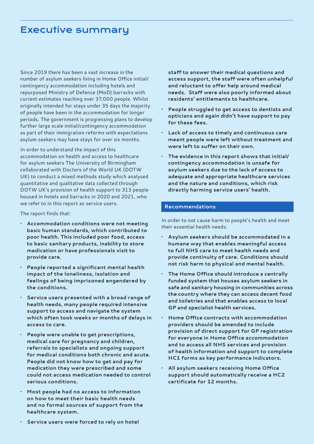# <span id="page-2-0"></span>Executive summary

Since 2019 there has been a vast increase in the number of asylum seekers living in Home Office initial/ contingency accommodation including hotels and repurposed Ministry of Defence (MoD) barracks with current estimates reaching over 37,000 people. Whilst originally intended for stays under 35 days the majority of people have been in the accommodation for longer periods. The government is progressing plans to develop further large scale initial/contingency accommodation as part of their immigration reforms with expectations asylum seekers may have stays for over six months.

In order to understand the impact of this accommodation on health and access to healthcare for asylum seekers The University of Birmingham collaborated with Doctors of the World UK (DOTW UK) to conduct a mixed methods study which analysed quantitative and qualitative data collected through DOTW UK's provision of health support to 313 people housed in hotels and barracks in 2020 and 2021, who we refer to in this report as service users.

The report finds that:

- **• Accommodation conditions were not meeting basic human standards, which contributed to poor health. This included poor food, access to basic sanitary products, inability to store medication or have professionals visit to provide care.**
- **• People reported a significant mental health impact of the loneliness, isolation and feelings of being imprisoned engendered by the conditions.**
- **• Service users presented with a broad range of health needs, many people required intensive support to access and navigate the system which often took weeks or months of delays in access to care.**
- **• People were unable to get prescriptions, medical care for pregnancy and children, referrals to specialists and ongoing support for medical conditions both chronic and acute. People did not know how to get and pay for medication they were prescribed and some could not access medication needed to control serious conditions.**
- **• Most people had no access to information on how to meet their basic health needs and no formal sources of support from the healthcare system.**

**staff to answer their medical questions and access support, the staff were often unhelpful and reluctant to offer help around medical needs. Staff were also poorly informed about residents' entitlements to healthcare.**

- **• People struggled to get access to dentists and opticians and again didn't have support to pay for these fees.**
- **• Lack of access to timely and continuous care meant people were left without treatment and were left to suffer on their own.**
- **• The evidence in this report shows that initial/ contingency accommodation is unsafe for asylum seekers due to the lack of access to adequate and appropriate healthcare services and the nature and conditions, which risk directly harming service users' health.**

## **Recommendations**

In order to not cause harm to people's health and meet their essential health needs:

- **• Asylum seekers should be accommodated in a humane way that enables meaningful access to full NHS care to meet health needs and provide continuity of care. Conditions should not risk harm to physical and mental health.**
- **• The Home Office should introduce a centrally funded system that houses asylum seekers in safe and sanitary housing in communities across the country where they can access decent food and toiletries and that enables access to local GP and specialist health services.**
- **• Home Office contracts with accommodation providers should be amended to include provision of direct support for GP registration for everyone in Home Office accommodation and to access all NHS services and provision of health information and support to complete HC1 forms as key performance indicators.**
- **• All asylum seekers receiving Home Office support should automatically receive a HC2 certificate for 12 months.**
- **• Service users were forced to rely on hotel**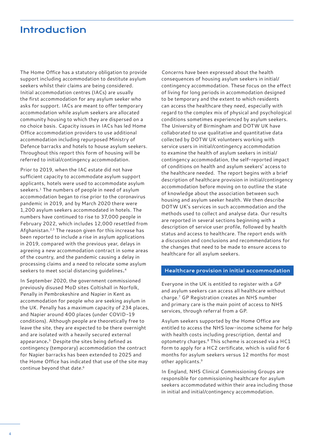# <span id="page-3-0"></span>Introduction

The Home Office has a statutory obligation to provide support including accommodation to destitute asylum seekers whilst their claims are being considered. Initial accommodation centres (IACs) are usually the first accommodation for any asylum seeker who asks for support. IACs are meant to offer temporary accommodation while asylum seekers are allocated community housing to which they are dispersed on a no choice basis. Capacity issues in IACs has led Home Office accommodation providers to use additional accommodation including repurposed Ministry of Defence barracks and hotels to house asylum seekers. Throughout this report this form of housing will be referred to initial/contingency accommodation.

Prior to 2019, when the IAC estate did not have sufficient capacity to accommodate asylum support applicants, hotels were used to accommodate asylum seekers.<sup>1</sup> The numbers of people in need of asylum accommodation began to rise prior to the coronavirus pandemic in 2019, and by March 2020 there were 1,200 asylum seekers accommodated in hotels. The numbers have continued to rise to 37,000 people in February 2022, which includes 12,000 resettled from Afghanistan.[2](#page-12-0),[3](#page-12-0) The reason given for this increase has been reported to include a rise in asylum applications in 2019, compared with the previous year, delays in agreeing a new accommodation contract in some areas of the country, and the pandemic causing a delay in processing claims and a need to relocate some asylum seekers to meet social distancing guidelines[.4](#page-12-0)

In September 2020, the government commissioned previously disused MoD sites Coltishall in Norfolk, Penally in Pembrokeshire and Napier in Kent as accommodation for people who are seeking asylum in the UK. Penally has a maximum capacity of 234 places, and Napier around 400 places (under COVID-19 conditions). Although people are theoretically free to leave the site, they are expected to be there overnight and are isolated with a heavily secured external appearance.[5](#page-12-0) Despite the sites being defined as contingency (temporary) accommodation the contract for Napier barracks has been extended to 2025 and the Home Office has indicated that use of the site may continue beyond that date.<sup>[6](#page-12-0)</sup>

Concerns have been expressed about the health consequences of housing asylum seekers in initial/ contingency accommodation. These focus on the effect of living for long periods in accommodation designed to be temporary and the extent to which residents can access the healthcare they need, especially with regard to the complex mix of physical and psychological conditions sometimes experienced by asylum seekers. The University of Birmingham and DOTW UK have collaborated to use qualitative and quantitative data collected by DOTW UK volunteers working with service users in initial/contingency accommodation to examine the health of asylum seekers in initial/ contingency accommodation, the self-reported impact of conditions on health and asylum seekers' access to the healthcare needed. The report begins with a brief description of healthcare provision in initial/contingency accommodation before moving on to outline the state of knowledge about the association between such housing and asylum seeker health. We then describe DOTW UK's services in such accommodation and the methods used to collect and analyse data. Our results are reported in several sections beginning with a description of service user profile, followed by health status and access to healthcare. The report ends with a discussion and conclusions and recommendations for the changes that need to be made to ensure access to healthcare for all asylum seekers.

#### **Healthcare provision in initial accommodation**

Everyone in the UK is entitled to register with a GP and asylum seekers can access all healthcare without charge.[7](#page-12-0) GP Registration creates an NHS number and primary care is the main point of access to NHS services, through referral from a GP.

Asylum seekers supported by the Home Office are entitled to access the NHS low-income scheme for help with health costs including prescription, dental and optometry charges[.8](#page-12-0) This scheme is accessed via a HC1 form to apply for a HC2 certificate, which is valid for 6 months for asylum seekers versus 12 months for most other applicants.<sup>[9](#page-12-0)</sup>

In England, NHS Clinical Commissioning Groups are responsible for commissioning healthcare for asylum seekers accommodated within their area including those in initial and initial/contingency accommodation.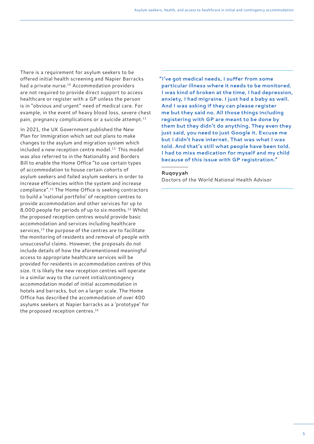There is a requirement for asylum seekers to be offered initial health screening and Napier Barracks had a private nurse.<sup>10</sup> Accommodation providers are not required to provide direct support to access healthcare or register with a GP unless the person is in "obvious and urgent" need of medical care. For example, in the event of heavy blood loss, severe chest pain, pregnancy complications or a suicide attempt.<sup>11</sup>

In 2021, the UK Government published the New Plan for Immigration which set out plans to make changes to the asylum and migration system which included a new reception centre model.<sup>[12](#page-12-0)</sup> This model was also referred to in the Nationality and Borders Bill to enable the Home Office "to use certain types of accommodation to house certain cohorts of asylum seekers and failed asylum seekers in order to increase efficiencies within the system and increase compliance"[.13](#page-12-0) The Home Office is seeking contractors to build a 'national portfolio' of reception centres to provide accommodation and other services for up to 8,000 people for periods of up to six months.[14](#page-12-0) Whilst the proposed reception centres would provide basic accommodation and services including healthcare services,<sup>15</sup> the purpose of the centres are to facilitate the monitoring of residents and removal of people with unsuccessful claims. However, the proposals do not include details of how the aforementioned meaningful access to appropriate healthcare services will be provided for residents in accommodation centres of this size. It is likely the new reception centres will operate in a similar way to the current initial/contingency accommodation model of initial accommodation in hotels and barracks, but on a larger scale. The Home Office has described the accommodation of over 400 asylums seekers at Napier barracks as a 'prototype' for the proposed reception centres.<sup>[16](#page-12-0)</sup>

**"I've got medical needs, I suffer from some particular illness where it needs to be monitored. I was kind of broken at the time, I had depression, anxiety, I had migraine. I just had a baby as well. And I was asking if they can please register me but they said no. All those things including registering with GP are meant to be done by them but they didn't do anything. They even they just said, you need to just Google it. Excuse me but I didn't have internet. That was what I was told. And that's still what people have been told. I had to miss medication for myself and my child because of this issue with GP registration."**

#### **Ruqoyyah**

Doctors of the World National Health Advisor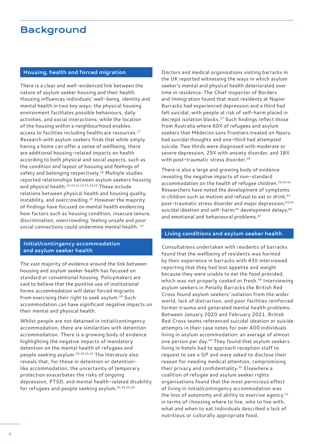# <span id="page-5-0"></span>**Background**

## **Housing, health and forced migration**

There is a clear and well-evidenced link between the nature of asylum seeker housing and their health. Housing influences individuals' well-being, identity and mental health in two key ways: the physical housing environment facilitates possible behaviours, daily activities, and social interactions; while the location of the housing within a neighbourhood enables access to facilities including healthcare resources.<sup>[17](#page-12-0)</sup> Research with asylum seekers finds that while simply having a home can offer a sense of wellbeing, there are additional housing-related impacts on health according to both physical and social aspects, such as the condition and layout of housing and feelings of safety and belonging respectively.<sup>18</sup> Multiple studies reported relationships between asylum seekers housing and physical health.[19,20,21](#page-12-0),[22](#page-12-0),[23,24,25](#page-12-0) These include relations between physical health and housing quality, instability, and overcrowding[.26](#page-12-0) However the majority of findings have focused on mental health evidencing how factors such as housing condition, insecure tenure, discrimination, overcrowding, feeling unsafe and poor social connections could undermine mental health.<sup>[27](#page-12-0)</sup>

## **Initial/contingency accommodation and asylum seeker health**

The vast majority of evidence around the link between housing and asylum seeker health has focused on standard or conventional housing. Policymakers are said to believe that the punitive use of institutional forms accommodation will deter forced migrants from exercising their right to seek asylum.[28](#page-12-0) Such accommodation can have significant negative impacts on their mental and physical health.

Whilst people are not detained in initial/contingency accommodation, there are similarities with detention accommodation. There is a growing body of evidence highlighting the negative impacts of mandatory detention on the mental health of refugees and people seeking asylum[.29,30,31](#page-12-0),[32](#page-12-0) The literature also reveals that, for those in detention or detentionlike accommodation, the uncertainty of temporary protection exacerbates the risks of ongoing depression, PTSD, and mental health-related disability for refugees and people seeking asylum[.33,34,35](#page-12-0),[36](#page-12-0)

Doctors and medical organisations visiting barracks in the UK reported witnessing the ways in which asylum seeker's mental and physical health deteriorated over time in residence. The Chief Inspector of Borders and Immigration found that most residents at Napier Barracks had experienced depression and a third had felt suicidal, with people at risk of self-harm placed in decrepit isolation blocks.<sup>37</sup> Such findings reflect those from Australia where 60% of refugees and asylum seekers that Médecins sans Frontiers treated on Nauru had suicidal thoughts and one-third had attempted suicide. Two thirds were diagnosed with moderate or severe depression, 25% with anxiety disorder, and 18% with post-traumatic stress disorder.<sup>38</sup>

There is also a large and growing body of evidence revealing the negative impacts of non-standard accommodation on the health of refugee children.<sup>39,[40](#page-12-0),[41](#page-12-0)</sup> Researchers have noted the development of symptoms in children such as mutism and refusal to eat or drink;<sup>[42](#page-12-0)</sup> post-traumatic stress disorder and major depression[;43](#page-12-0),[44](#page-12-0) suicidal ideation and self-harm;<sup>45</sup> development delays;<sup>46</sup> and emotional and behavioural problems.<sup>[47](#page-12-0)</sup>

#### **Living conditions and asylum seeker health**

Consultations undertaken with residents of barracks found that the wellbeing of residents was harmed by their experience in barracks with 43% interviewed reporting that they had lost appetite and weight because they were unable to eat the food provided, which was not properly cooked or fresh.<sup>[48](#page-12-0)</sup> Interviewing asylum seekers in Penally Barracks the British Red Cross found asylum seekers' isolation from the wider world, lack of distraction, and poor facilities reinforced former trauma and generated mental health problems. Between January 2020 and February 2021, British Red Cross teams referenced suicidal ideation or suicide attempts in their case notes for over 400 individuals living in asylum accommodation: an average of almost one person per day[.49](#page-12-0) They found that asylum seekers living in hotels had to approach reception staff to request to see a GP and were asked to disclose their reason for needing medical attention, compromising their privacy and confidentiality.[50](#page-12-0) Elsewhere a coalition of refugee and asylum seeker rights organisations found that the most pernicious effect of living in initial/contingency accommodation was the loss of autonomy and ability to exercise agency. $51$ in terms of choosing where to live, who to live with, what and when to eat.Individuals described a lack of nutritious or culturally appropriate food.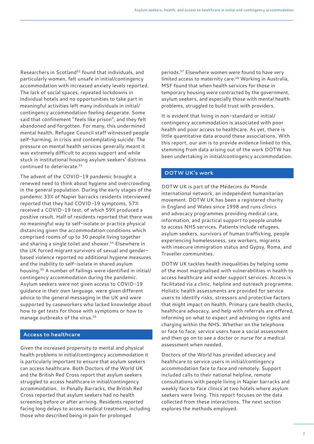Researchers in Scotland<sup>52</sup> found that individuals, and particularly women, felt unsafe in initial/contingency accommodation with increased anxiety levels reported. The lack of social spaces, repeated lockdowns in individual hotels and no opportunities to take part in meaningful activities left many individuals in initial/ contingency accommodation feeling desperate. Some said that confinement "feels like prison", and they felt abandoned and forgotten. For many, this undermined mental health. Refugee Council staff witnessed people self-harming, in crisis and contemplating suicide. The pressure on mental health services generally meant it was extremely difficult to access support and while stuck in institutional housing asylum seekers' distress continued to deteriorate[.53](#page-12-0)

The advent of the COVID-19 pandemic brought a renewed need to think about hygiene and overcrowding in the general population. During the early stages of the pandemic 33% of Napier barracks residents interviewed reported that they had COVID-19 symptoms, 57% received a COVID-19 test, of which 59% produced a positive result. Half of residents reported that there was no meaningful way to self-isolate or practice physical distancing given the accommodation conditions which comprised rooms of up to 30 people living together and sharing a single toilet and shower.<sup>54</sup> Elsewhere in the UK forced migrant survivors of sexual and genderbased violence reported no additional hygiene measures and the inability to self-isolate in shared asylum housing[.55](#page-12-0) A number of failings were identified in initial/ contingency accommodation during the pandemic. Asylum seekers were not given access to COVID-19 guidance in their own language, were given different advice to the general messaging in the UK and were supported by caseworkers who lacked knowledge about how to get tests for those with symptoms or how to manage outbreaks of the virus.[56](#page-12-0)

#### **Access to healthcare**

Given the increased propensity to mental and physical health problems in initial/contingency accommodation it is particularly important to ensure that asylum seekers can access healthcare. Both Doctors of the World UK and the British Red Cross report that asylum seekers struggled to access healthcare in initial/contingency accommodation. In Penally Barracks, the British Red Cross reported that asylum seekers had no health screening before or after arriving. Residents reported facing long delays to access medical treatment, including those who described being in pain for prolonged

periods.[57](#page-12-0) Elsewhere women were found to have very limited access to maternity care.<sup>58</sup> Working in Australia, MSF found that when health services for those in temporary housing were contracted by the government, asylum seekers, and especially those with mental health problems, struggled to build trust with providers.

It is evident that living in non-standard or initial/ contingency accommodation is associated with poor health and poor access to healthcare. As yet, there is little quantitative data around these associations. With this report, our aim is to provide evidence linked to this, stemming from data arising out of the work DOTW has been undertaking in initial/contingency accommodation.

## **DOTW UK's work**

DOTW UK is part of the Médecins du Monde international network, an independent humanitarian movement. DOTW UK has been a registered charity in England and Wales since 1998 and runs clinics and advocacy programmes providing medical care, information, and practical support to people unable to access NHS services. Patients include refugees, asylum seekers, survivors of human trafficking, people experiencing homelessness, sex workers, migrants with insecure immigration status and Gypsy, Roma, and Traveller communities.

DOTW UK tackles health inequalities by helping some of the most marginalised with vulnerabilities in health to access healthcare and wider support services. Access is facilitated via a clinic, helpline and outreach programme. Holistic health assessments are provided for service users to identify risks, stressors and protective factors that might impact on health. Primary care health checks, healthcare advocacy, and help with referrals are offered, informing on what to expect and advising on rights and charging within the NHS. Whether on the telephone or face to face, service users have a social assessment and then go on to see a doctor or nurse for a medical assessment when needed.

Doctors of the World has provided advocacy and healthcare to service users in initial/contingency accommodation face to face and remotely. Support included calls to their national helpline, remote consultations with people living in Napier barracks and weekly face to face clinics at two hotels where asylum seekers were living. This report focuses on the data collected from these interactions. The next section explores the methods employed.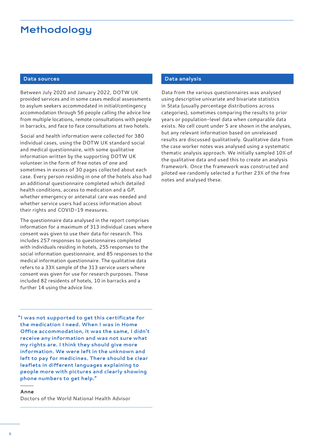# <span id="page-7-0"></span>Methodology

# **Data sources**

Between July 2020 and January 2022, DOTW UK provided services and in some cases medical assessments to asylum seekers accommodated in initial/contingency accommodation through 56 people calling the advice line from multiple locations, remote consultations with people in barracks, and face to face consultations at two hotels.

Social and health information were collected for 380 individual cases, using the DOTW UK standard social and medical questionnaire, with some qualitative information written by the supporting DOTW UK volunteer in the form of free notes of one and sometimes in excess of 30 pages collected about each case. Every person residing in one of the hotels also had an additional questionnaire completed which detailed health conditions, access to medication and a GP, whether emergency or antenatal care was needed and whether service users had access information about their rights and COVID-19 measures.

The questionnaire data analysed in the report comprises information for a maximum of 313 individual cases where consent was given to use their data for research. This includes 257 responses to questionnaires completed with individuals residing in hotels, 255 responses to the social information questionnaire, and 85 responses to the medical information questionnaire. The qualitative data refers to a 33% sample of the 313 service users where consent was given for use for research purposes. These included 82 residents of hotels, 10 in barracks and a further 14 using the advice line.

**"I was not supported to get this certificate for the medication I need. When I was in Home Office accommodation, it was the same, I didn't receive any information and was not sure what my rights are. I think they should give more information. We were left in the unknown and left to pay for medicines. There should be clear leaflets in different languages explaining to people more with pictures and clearly showing phone numbers to get help."**

#### **Anne**

Doctors of the World National Health Advisor

## **Data analysis**

Data from the various questionnaires was analysed using descriptive univariate and bivariate statistics in Stata (usually percentage distributions across categories), sometimes comparing the results to prior years or population-level data when comparable data exists. No cell count under 5 are shown in the analyses, but any relevant information based on unreleased results are discussed qualitatively. Qualitative data from the case worker notes was analysed using a systematic thematic analysis approach. We initially sampled 10% of the qualitative data and used this to create an analysis framework. Once the framework was constructed and piloted we randomly selected a further 23% of the free notes and analysed these.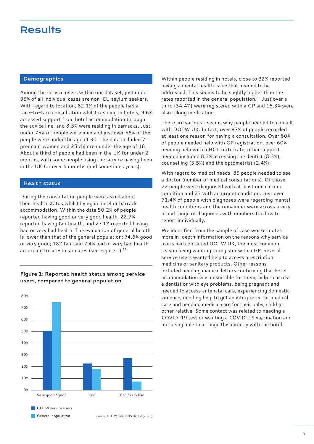# <span id="page-8-0"></span>**Results**

# **Demographics**

Among the service users within our dataset, just under 95% of all individual cases are non-EU asylum seekers. With regard to location, 82.1% of the people had a face-to-face consultation whilst residing in hotels, 9.6% accessed support from hotel accommodation through the advice line, and 8.3% were residing in barracks. Just under 75% of people were men and just over 56% of the people were under the age of 30. The data included 7 pregnant women and 25 children under the age of 18. About a third of people had been in the UK for under 2 months, with some people using the service having been in the UK for over 6 months (and sometimes years).

#### **Health status**

During the consultation people were asked about their health status whilst living in hotel or barrack accommodation. Within the data 50.2% of people reported having good or very good health, 22.7% reported having fair health, and 27.1% reported having bad or very bad health. The evaluation of general health is lower than that of the general population: 74.6% good or very good; 18% fair, and 7.4% bad or very bad health according to latest estimates (see Figure 1).<sup>[59](#page-12-0)</sup>



## **Figure 1: Reported health status among service users, compared to general population**

Within people residing in hotels, close to 32% reported having a mental health issue that needed to be addressed. This seems to be slightly higher than the rates reported in the general population.<sup>60</sup> Just over a third (34.4%) were registered with a GP and 16.3% were also taking medication.

There are various reasons why people needed to consult with DOTW UK. In fact, over 87% of people recorded at least one reason for having a consultation. Over 80% of people needed help with GP registration, over 60% needing help with a HC1 certificate, other support needed included 8.3% accessing the dentist (8.3%), counselling (3.5%) and the optometrist (2.4%).

With regard to medical needs, 85 people needed to see a doctor (number of medical consultations). Of those, 22 people were diagnosed with at least one chronic condition and 23 with an urgent condition. Just over 71.4% of people with diagnoses were regarding mental health conditions and the remainder were across a very broad range of diagnoses with numbers too low to report individually.

We identified from the sample of case worker notes more in-depth information on the reasons why service users had contacted DOTW UK, the most common reason being wanting to register with a GP. Several service users wanted help to access prescription medicine or sanitary products. Other reasons included needing medical letters confirming that hotel accommodation was unsuitable for them, help to access a dentist or with eye problems, being pregnant and needed to access antenatal care, experiencing domestic violence, needing help to get an interpreter for medical care and needing medical care for their baby, child or other relative. Some contact was related to needing a COVID-19 test or wanting a COVID-19 vaccination and not being able to arrange this directly with the hotel.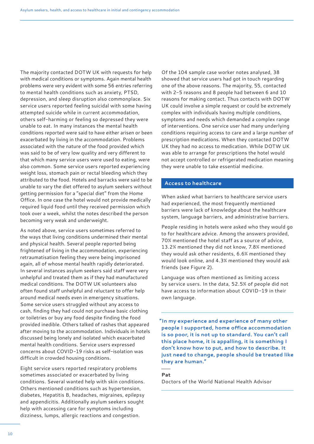The majority contacted DOTW UK with requests for help with medical conditions or symptoms. Again mental health problems were very evident with some 56 entries referring to mental health conditions such as anxiety, PTSD, depression, and sleep disruption also commonplace. Six service users reported feeling suicidal with some having attempted suicide while in current accommodation, others self-harming or feeling so depressed they were unable to eat. In many instances the mental health conditions reported were said to have either arisen or been exacerbated by living in the accommodation. Problems associated with the nature of the food provided which was said to be of very low quality and very different to that which many service users were used to eating, were also common. Some service users reported experiencing weight loss, stomach pain or rectal bleeding which they attributed to the food. Hotels and barracks were said to be unable to vary the diet offered to asylum seekers without getting permission for a "special diet" from the Home Office. In one case the hotel would not provide medically required liquid food until they received permission which took over a week, whilst the notes described the person becoming very weak and underweight.

As noted above, service users sometimes referred to the ways that living conditions undermined their mental and physical health. Several people reported being frightened of living in the accommodation, experiencing retraumatisation feeling they were being imprisoned again, all of whose mental health rapidly deteriorated. In several instances asylum seekers said staff were very unhelpful and treated them as if they had manufactured medical conditions. The DOTW UK volunteers also often found staff unhelpful and reluctant to offer help around medical needs even in emergency situations. Some service users struggled without any access to cash, finding they had could not purchase basic clothing or toiletries or buy any food despite finding the food provided inedible. Others talked of rashes that appeared after moving to the accommodation. Individuals in hotels discussed being lonely and isolated which exacerbated mental health conditions. Service users expressed concerns about COVID-19 risks as self-isolation was difficult in crowded housing conditions.

Eight service users reported respiratory problems sometimes associated or exacerbated by living conditions. Several wanted help with skin conditions. Others mentioned conditions such as hypertension, diabetes, Hepatitis B, headaches, migraines, epilepsy and appendicitis. Additionally asylum seekers sought help with accessing care for symptoms including dizziness, lumps, allergic reactions and congestion.

Of the 104 sample case worker notes analysed, 38 showed that service users had got in touch regarding one of the above reasons. The majority, 55, contacted with 2-5 reasons and 8 people had between 6 and 10 reasons for making contact. Thus contacts with DOTW UK could involve a simple request or could be extremely complex with individuals having multiple conditions, symptoms and needs which demanded a complex range of interventions. One service user had many underlying conditions requiring access to care and a large number of prescription medications. When they contacted DOTW UK they had no access to medication. While DOTW UK was able to arrange for prescriptions the hotel would not accept controlled or refrigerated medication meaning they were unable to take essential medicine.

#### **Access to healthcare**

When asked what barriers to healthcare service users had experienced, the most frequently mentioned barriers were lack of knowledge about the healthcare system, language barriers, and administrative barriers.

People residing in hotels were asked who they would go to for healthcare advice. Among the answers provided, 70% mentioned the hotel staff as a source of advice, 13.2% mentioned they did not know, 7.8% mentioned they would ask other residents, 6.6% mentioned they would look online, and 4.3% mentioned they would ask friends (see Figure 2).

Language was often mentioned as limiting access by service users. In the data, 52.5% of people did not have access to information about COVID-19 in their own language.

**"In my experience and experience of many other people I supported, home office accommodation is so poor, it is not up to standard. You can't call this place home, it is appalling, it is something I don't know how to put, and how to describe. It just need to change, people should be treated like they are human."**

#### **Pat**

Doctors of the World National Health Advisor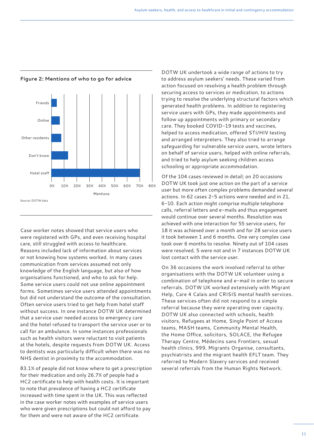

# **Figure 2: Mentions of who to go for advice**

Case worker notes showed that service users who were registered with GPs, and even receiving hospital care, still struggled with access to healthcare. Reasons included lack of information about services or not knowing how systems worked. In many cases communication from services assumed not only knowledge of the English language, but also of how organisations functioned, and who to ask for help. Some service users could not use online appointment forms. Sometimes service users attended appointments but did not understand the outcome of the consultation. Often service users tried to get help from hotel staff without success. In one instance DOTW UK determined that a service user needed access to emergency care and the hotel refused to transport the service user or to call for an ambulance. In some instances professionals such as health visitors were reluctant to visit patients at the hotels, despite requests from DOTW UK. Access to dentists was particularly difficult when there was no NHS dentist in proximity to the accommodation.

83.1% of people did not know where to get a prescription for their medication and only 26.7% of people had a HC2 certificate to help with health costs. It is important to note that prevalence of having a HC2 certificate increased with time spent in the UK. This was reflected in the case worker notes with examples of service users who were given prescriptions but could not afford to pay for them and were not aware of the HC2 certificate.

DOTW UK undertook a wide range of actions to try to address asylum seekers' needs. These varied from action focused on resolving a health problem through securing access to services or medication, to actions trying to resolve the underlying structural factors which generated health problems. In addition to registering service users with GPs, they made appointments and follow up appointments with primary or secondary care. They booked COVID-19 tests and vaccines, helped to access medication, offered STI/HIV testing and arranged interpreters. They also tried to arrange safeguarding for vulnerable service users, wrote letters on behalf of service users, helped with online referrals, and tried to help asylum seeking children access schooling or appropriate accommodation.

Of the 104 cases reviewed in detail; on 20 occasions DOTW UK took just one action on the part of a service user but more often complex problems demanded several actions. In 62 cases 2-5 actions were needed and in 21, 6-10. Each action might comprise multiple telephone calls, referral letters and e-mails and thus engagement would continue over several months. Resolution was achieved with one interaction for 55 service users, for 18 it was achieved over a month and for 28 service users it took between 1 and 6 months. One very complex case took over 6 months to resolve. Ninety out of 104 cases were resolved, 5 were not and in 7 instances DOTW UK lost contact with the service user.

On 36 occasions the work involved referral to other organisations with the DOTW UK volunteer using a combination of telephone and e-mail in order to secure referrals. DOTW UK worked extensively with Migrant Help, Care 4 Calais and CRISIS mental health services. These services often did not respond to a simple referral because they were operating over capacity. DOTW UK also connected with schools, health visitors, Refugees at Home, Single Point of Access teams, MASH teams, Community Mental Health, the Home Office, solicitors, SOLACE, the Refugee Therapy Centre, Médecins sans Frontiers, sexual health clinics, 999, Migrants Organise, consultants, psychiatrists and the migrant health EFLT team. They referred to Modern Slavery services and received several referrals from the Human Rights Network.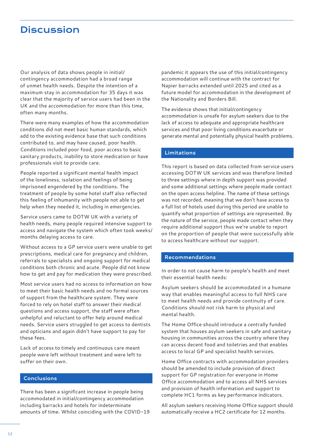# <span id="page-11-0"></span>**Discussion**

Our analysis of data shows people in initial/ contingency accommodation had a broad range of unmet health needs. Despite the intention of a maximum stay in accommodation for 35 days it was clear that the majority of service users had been in the UK and the accommodation for more than this time, often many months.

There were many examples of how the accommodation conditions did not meet basic human standards, which add to the existing evidence base that such conditions contributed to, and may have caused, poor health. Conditions included poor food, poor access to basic sanitary products, inability to store medication or have professionals visit to provide care.

People reported a significant mental health impact of the loneliness, isolation and feelings of being imprisoned engendered by the conditions. The treatment of people by some hotel staff also reflected this feeling of inhumanity with people not able to get help when they needed it, including in emergencies.

Service users came to DOTW UK with a variety of health needs, many people required intensive support to access and navigate the system which often took weeks/ months delaying access to care.

Without access to a GP service users were unable to get prescriptions, medical care for pregnancy and children, referrals to specialists and ongoing support for medical conditions both chronic and acute. People did not know how to get and pay for medication they were prescribed.

Most service users had no access to information on how to meet their basic health needs and no formal sources of support from the healthcare system. They were forced to rely on hotel staff to answer their medical questions and access support, the staff were often unhelpful and reluctant to offer help around medical needs. Service users struggled to get access to dentists and opticians and again didn't have support to pay for these fees.

Lack of access to timely and continuous care meant people were left without treatment and were left to suffer on their own.

## **Conclusions**

There has been a significant increase in people being accommodated in initial/contingency accommodation including barracks and hotels for indeterminate amounts of time. Whilst coinciding with the COVID-19

pandemic it appears the use of this initial/contingency accommodation will continue with the contract for Napier barracks extended until 2025 and cited as a future model for accommodation in the development of the Nationality and Borders Bill.

The evidence shows that initial/contingency accommodation is unsafe for asylum seekers due to the lack of access to adequate and appropriate healthcare services and that poor living conditions exacerbate or generate mental and potentially physical health problems.

## **Limitations**

This report is based on data collected from service users accessing DOTW UK services and was therefore limited to three settings where in depth support was provided and some additional settings where people made contact on the open access helpline. The name of these settings was not recorded, meaning that we don't have access to a full list of hotels used during this period are unable to quantify what proportion of settings are represented. By the nature of the service, people made contact when they require additional support thus we're unable to report on the proportion of people that were successfully able to access healthcare without our support.

## **Recommendations**

In order to not cause harm to people's health and meet their essential health needs:

Asylum seekers should be accommodated in a humane way that enables meaningful access to full NHS care to meet health needs and provide continuity of care. Conditions should not risk harm to physical and mental health.

The Home Office should introduce a centrally funded system that houses asylum seekers in safe and sanitary housing in communities across the country where they can access decent food and toiletries and that enables access to local GP and specialist health services.

Home Office contracts with accommodation providers should be amended to include provision of direct support for GP registration for everyone in Home Office accommodation and to access all NHS services and provision of health information and support to complete HC1 forms as key performance indicators.

All asylum seekers receiving Home Office support should automatically receive a HC2 certificate for 12 months.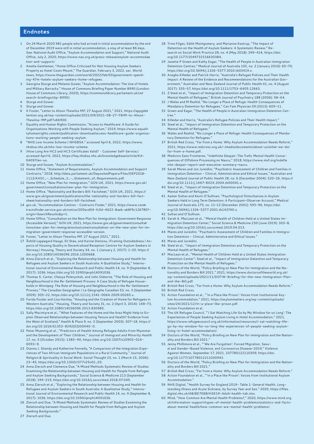#### <span id="page-12-0"></span>**Endnotes**

- 1 On 24 March 2020 981 people who had arrived in initial accommodation by the end of December 2019 were still in initial accommodation, a stay of at least 86 days. See: National Audit Office, "Asylum Accommodation and Support," National Audit Office, July 2, 2020, [https://www.nao.org.uk/press-release/asylum-accommoda](https://www.nao.org.uk/press-release/asylum-accommodation-and-support/)a [tion-and-support/](https://www.nao.org.uk/press-release/asylum-accommodation-and-support/).
- 2 Amelia Gentleman, "Home Office Criticised for Not Housing Asylum Seekers Properly as Hotel Costs Mount," The Guardian, February 3, 2022, sec. World news, [https://www.theguardian.com/world/2022/feb/03/government-spend](https://www.theguardian.com/world/2022/feb/03/government-spending-47m-hotels-asylum-seekers-home-refugees)[ing-47m-hotels-asylum-seekers-home-refugees.](https://www.theguardian.com/world/2022/feb/03/government-spending-47m-hotels-asylum-seekers-home-refugees)
- 3 Georgina Sturge and Melanie Gower, "Asylum Accommodation: The Use of Hotels and Military Barracks," House of Commons Briefing Paper Number 8990 (London: House of Commons LIbrary, 2020), [https://commonslibrary.parliament.uk/re](https://commonslibrary.parliament.uk/research-briefings/cbp-8990/)[search-briefings/cbp-8990/](https://commonslibrary.parliament.uk/research-briefings/cbp-8990/).
- 4 Sturge and Gower.
- 5 Sturge and Gower.
- 6 K Foster, "Letter to Alison Thewliss MP, 27 August 2021," 2021, [https://appgde](https://appgdetention.org.uk/wp-content/uploads/2021/09/2021-08-27-FBIM-to-Alison-Thewliss-MP.pdf?x66900)[tention.org.uk/wp-content/uploads/2021/09/2021-08-27-FBIM-to-Alison-](https://appgdetention.org.uk/wp-content/uploads/2021/09/2021-08-27-FBIM-to-Alison-Thewliss-MP.pdf?x66900)[Thewliss-MP.pdf?x66900](https://appgdetention.org.uk/wp-content/uploads/2021/09/2021-08-27-FBIM-to-Alison-Thewliss-MP.pdf?x66900).
- 7 Equality and Human Rights Commission, "Access to Healthcare: A Guide for Organisations Working with People Seeking Asylum," 2019, [https://www.equali](https://www.equalityhumanrights.com/en/publication-download/access-healthcare-guide-organisations-working-people-seeking-asylum)[tyhumanrights.com/en/publication-download/access-healthcare-guide-organisa](https://www.equalityhumanrights.com/en/publication-download/access-healthcare-guide-organisations-working-people-seeking-asylum)[tions-working-people-seeking-asylum.](https://www.equalityhumanrights.com/en/publication-download/access-healthcare-guide-organisations-working-people-seeking-asylum)
- 8 "NHS Low Income Scheme | NHSBSA," accessed April 6, 2022, [https://www.](https://www.nhsbsa.nhs.uk/nhs-low-income-scheme) [nhsbsa.nhs.uk/nhs-low-income-scheme](https://www.nhsbsa.nhs.uk/nhs-low-income-scheme).
- 9 **IHow Long Are HC2 and HC3 Certificates Valid?** · Customer Self-Service, II accessed April 6, 2022, [https://faq.nhsbsa.nhs.uk/knowledgebase/article/KA-](https://faq.nhsbsa.nhs.uk/knowledgebase/article/KA-04097/en-us)[04097/en-us.](https://faq.nhsbsa.nhs.uk/knowledgebase/article/KA-04097/en-us)
- 10 Sturge and Gower, "Asylum Accommodation."
- 11 Home Office, "Statement of Requirements, Asylum Accommodation and Support Contracts," 2018, [http://data.parliament.uk/DepositedPapers/Files/DEP2018-](http://data.parliament.uk/DepositedPapers/Files/DEP2018-1112/AASC_-_Schedule_2_-_Statement_of_Requirements.pdf) [1112/AASC\\_-\\_Schedule\\_2\\_-\\_Statement\\_of\\_Requirements.pdf.](http://data.parliament.uk/DepositedPapers/Files/DEP2018-1112/AASC_-_Schedule_2_-_Statement_of_Requirements.pdf)
- 12 Home Office, "New Plan for Immigration," [GOV.UK](http://GOV.UK), 2021, [https://www.gov.uk/](https://www.gov.uk/government/consultations/new-plan-for-immigration) [government/consultations/new-plan-for-immigration.](https://www.gov.uk/government/consultations/new-plan-for-immigration)
- 13 Home Office, "Nationality and Borders Bill: Factsheet," [GOV.UK](http://GOV.UK), 2021, [https://](https://www.gov.uk/government/publications/the-nationality-and-borders-bill-factsheet/nationality-and-borders-bill-factsheet) [www.gov.uk/government/publications/the-nationality-and-borders-bill-fact](https://www.gov.uk/government/publications/the-nationality-and-borders-bill-factsheet/nationality-and-borders-bill-factsheet)[sheet/nationality-and-borders-bill-factsheet](https://www.gov.uk/government/publications/the-nationality-and-borders-bill-factsheet/nationality-and-borders-bill-factsheet).
- 14 [gov.uk](http://gov.uk), "Accommodation Centres Contracts Finder," 2021, [https://www.con](https://www.contractsfinder.service.gov.uk/notice/200ecd04-fc0d-4622-8aeb-ab8f9c126780?origin=SearchResults&p=1)m [tractsfinder.service.gov.uk/notice/200ecd04-fc0d-4622-8aeb-ab8f9c126780?](https://www.contractsfinder.service.gov.uk/notice/200ecd04-fc0d-4622-8aeb-ab8f9c126780?origin=SearchResults&p=1) [origin=SearchResults&p=1.](https://www.contractsfinder.service.gov.uk/notice/200ecd04-fc0d-4622-8aeb-ab8f9c126780?origin=SearchResults&p=1)
- 15 Home Office, "Consultation on the New Plan for Immigration: Government Response (Accessible Version)," [GOV.UK,](http://GOV.UK) 2021, [https://www.gov.uk/government/consulta](https://www.gov.uk/government/consultations/new-plan-for-immigration/outcome/consultation-on-the-new-plan-for-immigration-government-response-accessible-version)[tions/new-plan-for-immigration/outcome/consultation-on-the-new-plan-for-im](https://www.gov.uk/government/consultations/new-plan-for-immigration/outcome/consultation-on-the-new-plan-for-immigration-government-response-accessible-version)[migration-government-response-accessible-version](https://www.gov.uk/government/consultations/new-plan-for-immigration/outcome/consultation-on-the-new-plan-for-immigration-government-response-accessible-version).
- 16 Foster, "Letter to Alison Thewliss MP, 27 August 2021," 2021.
- 17 Åshild Lappegard Hauge, Eli Støa, and Karine Denizou, IFraming Outsidedness II Aspects of Housing Quality in Decentralized Reception Centres for Asylum Seekers in Norway, Housing, Theory and Society 34, no. 1 (January 2, 2017): 1-20, [https://](https://doi.org/10.1080/14036096.2016.1200668) [doi.org/10.1080/14036096.2016.1200668.](https://doi.org/10.1080/14036096.2016.1200668)
- 18 Anna Ziersch et al., "Exploring the Relationship between Housing and Health for Refugees and Asylum Seekers in South Australia: A Qualitative Study," International Journal of Environmental Research and Public Health 14, no. 9 (September 8, 2017): 1036,<https://doi.org/10.3390/ijerph14091036>.
- 19 Thomas S. Carter, Chesya Polevychok, and John Osborne, "The Role of Housing and Neighbourhood in the Re-Settlement Process: A Case Study of Refugee Households in Winnipeg: The Role of Housing and Neighbourhood in the Re-Settlement Process," The Canadian Geographer / Le Géographe Canadien 53, no. 3 (September 2009): 305–22, <https://doi.org/10.1111/j.1541-0064.2009.00265.x>.
- 20 Farida Fozdar and Lisa Hartley, "Housing and the Creation of Home for Refugees in Western Australia," Housing, Theory and Society 31, no. 2 (April 3, 2014): 148–73, <https://doi.org/10.1080/14036096.2013.830985>.
- 21 Sally Macintyre et al., "What Features of the Home and the Area Might Help to Explain Observed Relationships between Housing Tenure and Health? Evidence from the West of Scotland," Health & Place 9, no. 3 (September 2003): 207–18, [https://](https://doi.org/10.1016/S1353-8292(02)00040-0) [doi.org/10.1016/S1353-8292\(02\)00040-0.](https://doi.org/10.1016/S1353-8292(02)00040-0)
- 22 Peter Muennig et al., "Predictors of Health Among Refugee Adults from Myanmar and the Development of Their Children," Journal of Immigrant and Minority Health 17, no. 5 (October 2015): 1385–90, [https://doi.org/10.1007/s10903-014-](https://doi.org/10.1007/s10903-014-0093-9) [0093-9](https://doi.org/10.1007/s10903-014-0093-9).
- 23 Dianna J. Shandy and Katherine Fennelly, "A Comparison of the Integration Experiences of Two African Immigrant Populations in a Rural Community," Journal of Religion & Spirituality in Social Work: Social Thought 25, no. 1 (March 15, 2006): 23–45, [https://doi.org/10.1300/J377v25n01\\_03](https://doi.org/10.1300/J377v25n01_03).
- 24 Anna Ziersch and Clemence Due, "A Mixed Methods Systematic Review of Studies Examining the Relationship between Housing and Health for People from Refugee and Asylum Seeking Backgrounds," Social Science & Medicine 213 (September 2018): 199–219, <https://doi.org/10.1016/j.socscimed.2018.07.045>.
- 25 Anna Ziersch et al., "Exploring the Relationship between Housing and Health for Refugees and Asylum Seekers in South Australia: A Qualitative Study," International Journal of Environmental Research and Public Health 14, no. 9 (September 8, 2017): 1036,<https://doi.org/10.3390/ijerph14091036>.
- 26 Ziersch and Due, "A Mixed Methods Systematic Review of Studies Examining the Relationship between Housing and Health for People from Refugee and Asylum Seeking Backgrounds."
- 27 Ziersch and Due.
- 28 Trine Filges, Edith Montgomery, and Marianne Kastrup, "The Impact of Detention on the Health of Asylum Seekers: A Systematic Review," Research on Social Work Practice 28, no. 4 (May 2018): 399–414, [https://doi.](https://doi.org/10.1177/1049731516630384) [org/10.1177/1049731516630384](https://doi.org/10.1177/1049731516630384).
- 29 Janette P Green and Kathy Eagar, "The Health of People in Australian Immigration Detention Centres," Medical Journal of Australia 192, no. 2 (January 2010): 65–70, <https://doi.org/10.5694/j.1326-5377.2010.tb03419.x>.
- 30 Anagha Killedar and Patrick Harris, "Australia's Refugee Policies and Their Health Impact: A Review of the Evidence and Recommendations for the Australian Government," Australian and New Zealand Journal of Public Health 41, no. 4 (August 2017): 335–37,<https://doi.org/10.1111/1753-6405.12663>.
- 31 Z Steel et al., "Impact of Immigration Detention and Temporary Protection on the Mental Health of Refugees," British Journal of Psychiatry 188 (2006): 58–64.
- 32 J Wales and M Rashid, "No Longer a Place of Refuge: Health Consequences of Mandatory Detention for Refugees," Can Fam Physician 59 (2013): 609–11.
- 33 Green and Eagar, "The Health of People in Australian Immigration Detention Centres."
- 34 Killedar and Harris, "Australia's Refugee Policies and Their Health Impact."
- 35 Steel et al., "Impact of Immigration Detention and Temporary Protection on the
- Mental Health of Refugees." 36 Wales and Rashid, "No Longer a Place of Refuge: Health Consequences of Mandatory Detention for Refugees."
- 37 British Red Cross, "Far from a Home: Why Asylum Accommodation Needs Reform," 2021, [https://www.redcross.org.uk/-/media/documents/about-us/what-we-do/](https://www.redcross.org.uk/-/media/documents/about-us/what-we-do/far-from-a-home.pdf) [far-from-a-home.pdf.](https://www.redcross.org.uk/-/media/documents/about-us/what-we-do/far-from-a-home.pdf)
- 38 Medicins Sans Frontieres, "Indefinite Despair: The Trafic Mental Health Consequences of Offshore Processing on Nauru," 2018, [https://www.msf.org/indefi](https://www.msf.org/indefinite-despair-report-and-executive-summary-nauru)[nite-despair-report-and-executive-summary-nauru.](https://www.msf.org/indefinite-despair-report-and-executive-summary-nauru)
- 39 Sarah Mares and Jon Jureidini, "Psychiatric Assessment of Children and Families in Immigration Detention - Clinical, Administrative and Ethical Issues," Australian and New Zealand Journal of Public Health 28, no. 6 (December 2004): 520–26, [https://](https://doi.org/10.1111/j.1467-842X.2004.tb00041.x) [doi.org/10.1111/j.1467-842X.2004.tb00041.x](https://doi.org/10.1111/j.1467-842X.2004.tb00041.x).
- 40 Steel et al., "Impact of Immigration Detention and Temporary Protection on the Mental Health of Refugees."
- 41 Aamer Sultan and Kevin O'Sullivan, "Psychological Disturbances in Asylum Seekers Held in Long Term Detention: A Participant–Observer Account," Medical Journal of Australia 175, no. 11–12 (December 2001): 593–96, [https://doi.](https://doi.org/10.5694/j.1326-5377.2001.tb143740.x) [org/10.5694/j.1326-5377.2001.tb143740.x](https://doi.org/10.5694/j.1326-5377.2001.tb143740.x).
- 42 Sultan and O'Sullivan.
- 43 Sarah A. MacLean et al., "Mental Health of Children Held at a United States Immigration Detention Center," Social Science & Medicine 230 (June 2019): 303–8, <https://doi.org/10.1016/j.socscimed.2019.04.013>.
- 44 Mares and Jureidini, "Psychiatric Assessment of Children and Families in Immigration Detention - Clinical, Administrative and Ethical Issues."
- 45 Mares and Jureidini.
- 46 Steel et al., "Impact of Immigration Detention and Temporary Protection on the Mental Health of Refugees."
- 47 MacLean et al., "Mental Health of Children Held at a United States Immigration Detention Center"; Steel et al., "Impact of Immigration Detention and Temporary Protection on the Mental Health of Refugees."
- 48 Doctors of the World, "Policy Briefing on New Plan for Immigration and the Nationality and Borders Bill 2021," 2021, [https://www.doctorsoftheworld.org.uk/](https://www.doctorsoftheworld.org.uk/wp-content/uploads/2021/11/DOTW-Briefing-for-the-new-Immigration-Plan-and-the-Bill.pdf) [wp-content/uploads/2021/11/DOTW-Briefing-for-the-new-Immigration-Plan](https://www.doctorsoftheworld.org.uk/wp-content/uploads/2021/11/DOTW-Briefing-for-the-new-Immigration-Plan-and-the-Bill.pdf)[and-the-Bill.pdf](https://www.doctorsoftheworld.org.uk/wp-content/uploads/2021/11/DOTW-Briefing-for-the-new-Immigration-Plan-and-the-Bill.pdf).
- 49 British Red Cross, "Far from a Home: Why Asylum Accommodation Needs Reform."
- 50 British Red Cross.
- 51 Action Foundation et al., "'In a Place like Prison': Voices from Institutional Asylum Accommodation," 2021, [https://asylummatters.org/wp-content/uploads/](https://asylummatters.org/wp-content/uploads/sites/24/2021/12/In-a-place-like-prison.pdf) [sites/24/2021/12/In-a-place-like-prison.pdf.](https://asylummatters.org/wp-content/uploads/sites/24/2021/12/In-a-place-like-prison.pdf)
- 52 Action Foundation et al.
- 53 The UK Refugee Council, "'I Sat Watching Life Go by My Window for so Long': The Experiences of People Seeking Asylum Living in Hotel Accommodation," 2021, [https://www.refugeecouncil.org.uk/information/resources/i-sat-watching-life](https://www.refugeecouncil.org.uk/information/resources/i-sat-watching-life-go-by-my-window-for-so-long-the-experiences-of-people-seeking-asylum-living-in-hotel-accommodation/)[go-by-my-window-for-so-long-the-experiences-of-people-seeking-asylum](https://www.refugeecouncil.org.uk/information/resources/i-sat-watching-life-go-by-my-window-for-so-long-the-experiences-of-people-seeking-asylum-living-in-hotel-accommodation/)[living-in-hotel-accommodation/](https://www.refugeecouncil.org.uk/information/resources/i-sat-watching-life-go-by-my-window-for-so-long-the-experiences-of-people-seeking-asylum-living-in-hotel-accommodation/).
- 54 Doctors of the World, "Policy Briefing on New Plan for Immigration and the Nationality and Borders Bill 2021."
- 55 Jenny Phillimore et al., "'We Are Forgotten': Forced Migration, Sexual and Gender-Based Violence, and Coronavirus Disease-2019," Violence Against Women, September 17, 2021, 107780122110309, [https://doi.](https://doi.org/10.1177/10778012211030943) [org/10.1177/10778012211030943](https://doi.org/10.1177/10778012211030943).
- 56 Doctors of the World, "Policy Briefing on New Plan for Immigration and the Nationality and Borders Bill 2021."
- 57 British Red Cross, "Far from a Home: Why Asylum Accommodation Needs Reform."
- 58 Action Foundation et al., "'In a Place like Prison': Voices from Institutional Asylum Accommodation."
- 59 NHS Digital, "Health Survey for England 2019- Table 1: General Health, Longstanding Illness and Acute Sickness, by Survey Year and Sex," 2020, [https://files.](https://files.digital.nhs.uk/AB/BE7EBB/HSE19-Adult-health-tab.xlsx) [digital.nhs.uk/AB/BE7EBB/HSE19-Adult-health-tab.xlsx](https://files.digital.nhs.uk/AB/BE7EBB/HSE19-Adult-health-tab.xlsx).
- 60 Mind, "How Common Are Mental Health Problems?," 2020, [https://www.mind.org.](https://www.mind.org.uk/information-support/types-of-mental-health-problems/statistics-and-facts-about-mental-health/how-common-are-mental-health-problems/) [uk/information-support/types-of-mental-health-problems/statistics-and-facts](https://www.mind.org.uk/information-support/types-of-mental-health-problems/statistics-and-facts-about-mental-health/how-common-are-mental-health-problems/)[about-mental-health/how-common-are-mental-health-problems/.](https://www.mind.org.uk/information-support/types-of-mental-health-problems/statistics-and-facts-about-mental-health/how-common-are-mental-health-problems/)